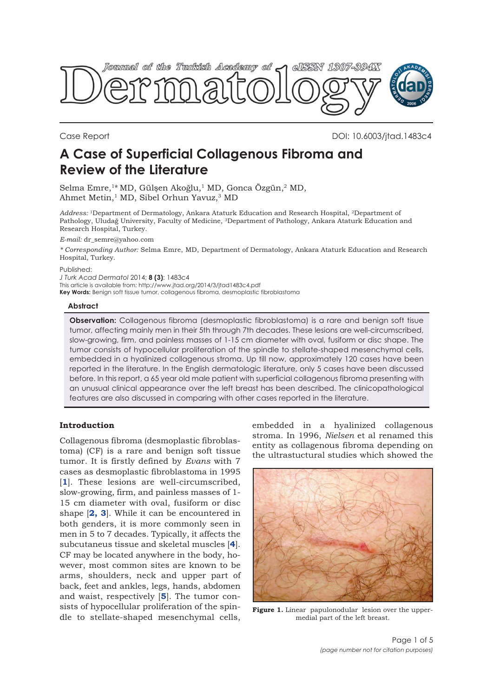<span id="page-0-0"></span>

Case Report DOI: 10.6003/jtad.1483c4

# **A Case of Superficial Collagenous Fibroma and Review of the Literature**

Selma Emre,<sup>1\*</sup> MD, Gülsen Akoğlu,<sup>1</sup> MD, Gonca Özgün,<sup>2</sup> MD, Ahmet Metin,<sup>1</sup> MD, Sibel Orhun Yavuz,<sup>3</sup> MD

Address: <sup>1</sup>Department of Dermatology, Ankara Ataturk Education and Research Hospital, <sup>2</sup>Department of Pathology, Uludağ University, Faculty of Medicine, <sup>3</sup>Department of Pathology, Ankara Ataturk Education and Research Hospital, Turkey.

*E-mail:* dr\_semre@yahoo.com

*\* Corresponding Author:* Selma Emre, MD, Department of Dermatology, Ankara Ataturk Education and Research Hospital, Turkey.

Published:

*J Turk Acad Dermatol* 2014; **8 (3)**: 1483c4

This article is available from: http://www.jtad.org/2014/3/jtad1483c4.pdf **Key Words:** Benign soft tissue tumor, collagenous fibroma, desmoplastic fibroblastoma

# **Abstract**

**Observation:** Collagenous fibroma (desmoplastic fibroblastoma) is a rare and benign soft tisue tumor, affecting mainly men in their 5th through 7th decades. These lesions are well-circumscribed, slow-growing, firm, and painless masses of 1-15 cm diameter with oval, fusiform or disc shape. The tumor consists of hypocellular proliferation of the spindle to stellate-shaped mesenchymal cells, embedded in a hyalinized collagenous stroma. Up till now, approximately 120 cases have been reported in the literature. In the English dermatologic literature, only 5 cases have been discussed before. In this report, a 65 year old male patient with superficial collagenous fibroma presenting with an unusual clinical appearance over the left breast has been described. The clinicopathological features are also discussed in comparing with other cases reported in the literature.

# **Introduction**

Collagenous fibroma (desmoplastic fibroblastoma) (CF) is a rare and benign soft tissue tumor. It is firstly defined by *Evans* with 7 cases as desmoplastic fibroblastoma in 1995 [**[1](#page-3-0)**]. These lesions are well-circumscribed, slow-growing, firm, and painless masses of 1- 15 cm diameter with oval, fusiform or disc shape [**[2,](#page-4-0) [3](#page-3-0)**]. While it can be encountered in both genders, it is more commonly seen in men in 5 to 7 decades. Typically, it affects the subcutaneus tissue and skeletal muscles [**[4](#page-3-0)**]. CF may be located anywhere in the body, however, most common sites are known to be arms, shoulders, neck and upper part of back, feet and ankles, legs, hands, abdomen and waist, respectively [**[5](#page-3-0)**]. The tumor consists of hypocellular proliferation of the spindle to stellate-shaped mesenchymal cells,

embedded in a hyalinized collagenous stroma. In 1996, *Nielsen* et al renamed this entity as collagenous fibroma depending on the ultrastuctural studies which showed the



Figure 1. Linear papulonodular lesion over the uppermedial part of the left breast.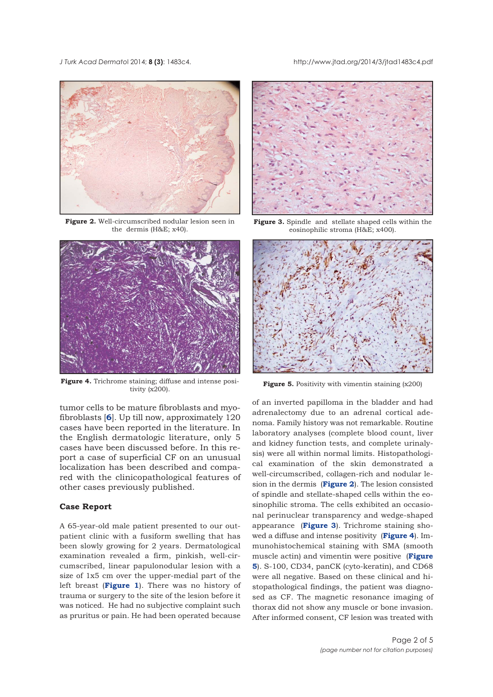*J Turk Acad Dermato*l 2014; **8 (3)**: 1483c4. http://www.jtad.org/2014/3/jtad1483c4.pdf



**Figure 2.** Well-circumscribed nodular lesion seen in the dermis (H&E; x40).



**Figure 4.** Trichrome staining; diffuse and intense posistaining; diffuse and intense posi-<br>**Figure 5.** Positivity with vimentin staining  $(x200)$ <br>tivity  $(x200)$ .

tumor cells to be mature fibroblasts and myofibroblasts [**[6](#page-3-0)**]. Up till now, approximately 120 cases have been reported in the literature. In the English dermatologic literature, only 5 cases have been discussed before. In this report a case of superficial CF on an unusual localization has been described and compared with the clinicopathological features of other cases previously published.

# **Case Report**

A 65-year-old male patient presented to our outpatient clinic with a fusiform swelling that has been slowly growing for 2 years. Dermatological examination revealed a firm, pinkish, well-circumscribed, linear papulonodular lesion with a size of 1x5 cm over the upper-medial part of the left breast (**[Figure 1](#page-0-0)**). There was no history of trauma or surgery to the site of the lesion before it was noticed. He had no subjective complaint such as pruritus or pain. He had been operated because



**Figure 3.** Spindle and stellate shaped cells within the eosinophilic stroma (H&E; x400).



of an inverted papilloma in the bladder and had adrenalectomy due to an adrenal cortical adenoma. Family history was not remarkable. Routine laboratory analyses (complete blood count, liver and kidney function tests, and complete urinalysis) were all within normal limits. Histopathological examination of the skin demonstrated a well-circumscribed, collagen-rich and nodular lesion in the dermis (**Figure 2**). The lesion consisted of spindle and stellate-shaped cells within the eosinophilic stroma. The cells exhibited an occasional perinuclear transparency and wedge-shaped appearance (**Figure 3**). Trichrome staining showed a diffuse and intense positivity (**Figure 4**). Immunohistochemical staining with SMA (smooth muscle actin) and vimentin were positive (**Figure 5**). S-100, CD34, panCK (cyto-keratin), and CD68 were all negative. Based on these clinical and histopathological findings, the patient was diagnosed as CF. The magnetic resonance imaging of thorax did not show any muscle or bone invasion. After informed consent, CF lesion was treated with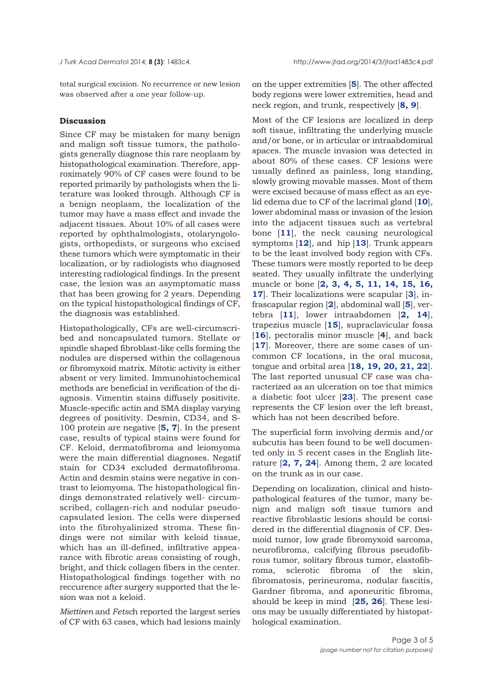total surgical excision. No recurrence or new lesion was observed after a one year follow-up.

# **Discussion**

Since CF may be mistaken for many benign and malign soft tissue tumors, the pathologists generally diagnose this rare neoplasm by histopathological examination. Therefore, approximately 90% of CF cases were found to be reported primarily by pathologists when the literature was looked through. Although CF is a benign neoplasm, the localization of the tumor may have a mass effect and invade the adjacent tissues. About 10% of all cases were reported by ophthalmologists, otolaryngologists, orthopedists, or surgeons who excised these tumors which were symptomatic in their localization, or by radiologists who diagnosed interesting radiological findings. In the present case, the lesion was an asymptomatic mass that has been growing for 2 years. Depending on the typical histopathological findings of CF, the diagnosis was established.

Histopathologically, CFs are well-circumscribed and noncapsulated tumors. Stellate or spindle shaped fibroblast-like cells forming the nodules are dispersed within the collagenous or fibromyxoid matrix. Mitotic activity is either absent or very limited. Immunohistochemical methods are beneficial in verification of the diagnosis. Vimentin stains diffusely positivite. Muscle-specific actin and SMA display varying degrees of positivity. Desmin, CD34, and S-100 protein are negative [**[5, 7](#page-3-0)**]. In the present case, results of typical stains were found for CF. Keloid, dermatofibroma and leiomyoma were the main differential diagnoses. Negatif stain for CD34 excluded dermatofibroma. Actin and desmin stains were negative in contrast to leiomyoma. The histopathological findings demonstrated relatively well- circumscribed, collagen-rich and nodular pseudocapsulated lesion. The cells were dispersed into the fibrohyalinized stroma. These findings were not similar with keloid tissue, which has an ill-defined, infiltrative appearance with fibrotic areas consisting of rough, bright, and thick collagen fibers in the center. Histopathological findings together with no reccurence after surgery supported that the lesion was not a keloid.

*Miettiren* and *Fetsc*h reported the largest series of CF with 63 cases, which had lesions mainly on the upper extremities [**[5](#page-3-0)**]. The other affected body regions were lower extremities, head and neck region, and trunk, respectively [**[8, 9](#page-3-0)**].

Most of the CF lesions are localized in deep soft tissue, infiltrating the underlying muscle and/or bone, or in articular or intraabdominal spaces. The muscle invasion was detected in about 80% of these cases. CF lesions were usually defined as painless, long standing, slowly growing movable masses. Most of them were excised because of mass effect as an eyelid edema due to CF of the lacrimal gland [**[10](#page-3-0)**], lower abdominal mass or invasion of the lesion into the adjacent tissues such as vertebral bone [**[11](#page-3-0)**], the neck causing neurological symptoms [**[12](#page-3-0)**], and hip [**[13](#page-3-0)**]. Trunk appears to be the least involved body region with CFs. These tumors were mostly reported to be deep seated. They usually infiltrate the underlying muscle or bone [**[2, 3, 4,](#page-3-0) [5,](#page-3-0) [11,](#page-3-0) [14,](#page-3-0) [15,](#page-3-0) [16,](#page-3-0) [17](#page-3-0)**]. Their localizations were scapular [**[3](#page-3-0)**], infrascapular region [**[2](#page-3-0)**], abdominal wall [**[5](#page-3-0)**], vertebra [**[11](#page-3-0)**], lower intraabdomen [**[2,](#page-3-0) [14](#page-3-0)**], trapezius muscle [**[15](#page-3-0)**], supraclavicular fossa [**[16](#page-3-0)**], pectoralis minor muscle [**[4](#page-3-0)**], and back [**[17](#page-3-0)**]. Moreover, there are some cases of uncommon CF locations, in the oral mucosa, tongue and orbital area [**[18, 19, 20,](#page-3-0) [21,](#page-3-0) [22](#page-3-0)**]. The last reported unusual CF case was characterized as an ulceration on toe that mimics a diabetic foot ulcer [**[23](#page-3-0)**]. The present case represents the CF lesion over the left breast, which has not been described before.

The superficial form involving dermis and/or subcutis has been found to be well documented only in 5 recent cases in the English literature [**[2,](#page-3-0) [7,](#page-3-0) [24](#page-3-0)**]. Among them, 2 are located on the trunk as in our case.

Depending on localization, clinical and histopathological features of the tumor, many benign and malign soft tissue tumors and reactive fibroblastic lesions should be considered in the differential diagnosis of CF. Desmoid tumor, low grade fibromyxoid sarcoma, neurofibroma, calcifying fibrous pseudofibrous tumor, solitary fibrous tumor, elastofibroma, sclerotic fibroma of the skin, fibromatosis, perineuroma, nodular fascitis, Gardner fibroma, and aponeuritic fibroma, should be keep in mind [**[25,](#page-4-0) [26](#page-4-0)**]. These lesions may be usually differentiated by histopathological examination.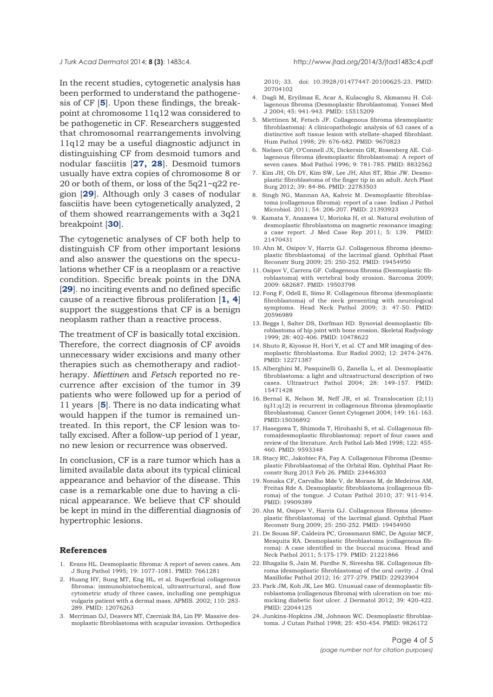<span id="page-3-0"></span>*J Turk Acad Dermato*l 2014; **8 (3)**: 1483c4. http://www.jtad.org/2014/3/jtad1483c4.pdf

In the recent studies, cytogenetic analysis has been performed to understand the pathogenesis of CF [**5**]. Upon these findings, the breakpoint at chromosome 11q12 was considered to be pathogenetic in CF. Researchers suggested that chromosomal rearrangements involving 11q12 may be a useful diagnostic adjunct in distinguishing CF from desmoid tumors and nodular fasciitis [**[27, 28](#page-4-0)**]. Desmoid tumors usually have extra copies of chromosome 8 or 20 or both of them, or loss of the 5q21~q22 region [**[29](#page-4-0)**]. Although only 3 cases of nodular fasciitis have been cytogenetically analyzed, 2 of them showed rearrangements with a 3q21 breakpoint [**[30](#page-4-0)**].

The cytogenetic analyses of CF both help to distinguish CF from other important lesions and also answer the questions on the speculations whether CF is a neoplasm or a reactive condition. Specific break points in the DNA [**[29](#page-4-0)**]. no inciting events and no defined specific cause of a reactive fibrous proliferation [**1, 4**] support the suggestions that CF is a benign neoplasm rather than a reactive process.

The treatment of CF is basically total excision. Therefore, the correct diagnosis of CF avoids unnecessary wider excisions and many other therapies such as chemotherapy and radiotherapy. *Miettinen* and *Fetsch* reported no recurrence after excision of the tumor in 39 patients who were followed up for a period of 11 years [**5**]. There is no data indicating what would happen if the tumor is remained untreated. In this report, the CF lesion was totally excised. After a follow-up period of 1 year, no new lesion or recurrence was observed.

In conclusion, CF is a rare tumor which has a limited available data about its typical clinical appearance and behavior of the disease. This case is a remarkable one due to having a clinical appearance. We believe that CF should be kept in mind in the differential diagnosis of hypertrophic lesions.

# **References**

- 1. Evans HL. Desmoplastic fibroma: A report of seven cases. Am J Surg Pathol 1995; 19: 1077-1081. PMID: 7661281
- 2. Huang HY, Sung MT, Eng HL, et al. Superficial collagenous fibroma: immunohistochemical, ultrastructural, and flow cytometric study of three cases, including one pemphigus vulgaris patient with a dermal mass. APMIS. 2002; 110: 283- 289. PMID: 12076263
- 3. Merriman DJ, Deavers MT, Czerniak BA, Lin PP. Massive desmoplastic fibroblastoma with scapular invasion. Orthopedics

2010; 33. doi: 10.3928/01477447-20100625-23. PMID: 20704102

- 4. Dagli M, Eryilmaz E, Acar A, Kulacoglu S, Akmansu H. Collagenous fibroma (Desmoplastic fibroblastoma). Yonsei Med J 2004; 45: 941-943. PMID: 15515209
- 5. Miettinen M, Fetsch JF. Collagenous fibroma (desmoplastic fibroblastoma): A clinicopathologic analysis of 63 cases of a distinctive soft tissue lesion with stellate-shaped fibroblast. Hum Pathol 1998; 29: 676-682. PMID: 9670823
- 6. Nielsen GP, O'Connell JX, Dickersin GR, Rosenberg AE. Collagenous fibroma (desmoplastic fibroblastoma): A report of seven cases. Mod Pathol 1996; 9: 781-785. PMID: 8832562
- 7. Kim JH, Oh DY, Kim SW, Lee JH, Ahn ST, Rhie JW. Desmoplastic fibroblastoma of the finger tip in an adult. Arch Plast Surg 2012; 39: 84-86. PMID: 22783503
- Singh NG, Mannan AA, Kahvic M. Desmoplastic fibroblastoma (collagenous fibroma): report of a case. Indian J Pathol Microbiol. 2011; 54: 206-207. PMID: 21393923
- 9. Kamata Y, Anazawa U, Morioka H, et al. Natural evolution of desmoplastic fibroblastoma on magnetic resonance imaging: a case report. J Med Case Rep 2011; 5: 139. PMID: 21470431
- 10. Ahn M, Osipov V, Harris GJ. Collagenous fibroma (desmoplastic fibroblastoma) of the lacrimal gland. Ophthal Plast Reconstr Surg 2009; 25: 250-252. PMID: 19454950
- 11. Osipov V, Carrera GF. Collagenous fibroma (Desmoplastic fibroblastoma) with vertebral body erosion. Sarcoma 2009; 2009: 682687. PMID: 19503798
- 12. Fong F, Odell E, Simo R. Collagenous fibroma (desmoplastic fibroblastoma) of the neck presenting with neurological symptoms. Head Neck Pathol 2009; 3: 47-50. PMID: 20596989
- 13. Beggs I, Salter DS, Dorfman HD. Synovial desmoplastic fibroblastoma of hip joint with bone erosion. Skeletal Radyology 1999; 28: 402-406. PMID: 10478622
- 14. Shuto R, Kiyosue H, Hori Y, et al. CT and MR imaging of desmoplastic fibroblastoma. Eur Radiol 2002; 12: 2474-2476. PMID: 12271387
- 15. Alberghini M, Pasquinelli G, Zanella L, et al. Desmoplastic fibroblastoma: a light and ultrastructural description of two cases. Ultrastruct Pathol 2004; 28: 149-157. PMID: 15471428
- 16. Bernal K, Nelson M, Neff JR, et al. Translocation (2;11) (q31;q12) is recurrent in collagenous fibroma (desmoplastic fibroblastoma). Cancer Genet Cytogenet 2004; 149: 161-163. PMID:15036892
- 17. Hasegawa T, Shimoda T, Hirohashi S, et al. Collagenous fibroma(desmoplastic fibroblastoma): report of four cases and review of the literature. Arch Pathol Lab Med 1998; 122: 455- 460. PMID: 9593348
- 18. Stacy RC, Jakobiec FA, Fay A. Collagenous Fibroma (Desmoplastic Fibroblastoma) of the Orbital Rim. Ophthal Plast Reconstr Surg 2013 Feb 26. PMID: 23446303
- 19. Nonaka CF, Carvalho Mde V, de Moraes M, de Medeiros AM, Freitas Rde A. Desmoplastic fibroblastoma (collagenous fibroma) of the tongue. J Cutan Pathol 2010; 37: 911-914. PMID: 19909389
- 20. Ahn M, Osipov V, Harris GJ. Collagenous fibroma (desmoplastic fibroblastoma) of the lacrimal gland. Ophthal Plast Reconstr Surg 2009; 25: 250-252. PMID: 19454950
- 21. De Sousa SF, Caldeira PC, Grossmann SMC, De Aguiar MCF, Mesquita RA. Desmoplastic fibroblastoma (collagenous fibroma): A case identified in the buccal mucosa. Head and Neck Pathol 2011; 5:175-179. PMID: 21221866
- 22. Bhagalia S, Jain M, Pardhe N, Sireesha SK. Collagenous fibroma (desmoplastic fibroblastoma) of the oral cavity. J Oral Maxillofac Pathol 2012; 16: 277-279. PMID: 22923904
- 23. Park JM, Koh JK, Lee MG. Unusual case of desmoplastic fibroblastoma (collagenous fibroma) with ulceration on toe: mimicking diabetic foot ulcer. J Dermatol 2012; 39: 420-422. PMID: 22044125
- 24. Junkins-Hopkins JM, Johnson WC. Desmoplastic fibroblastoma. J Cutan Pathol 1998; 25: 450-454. PMID: 9826172